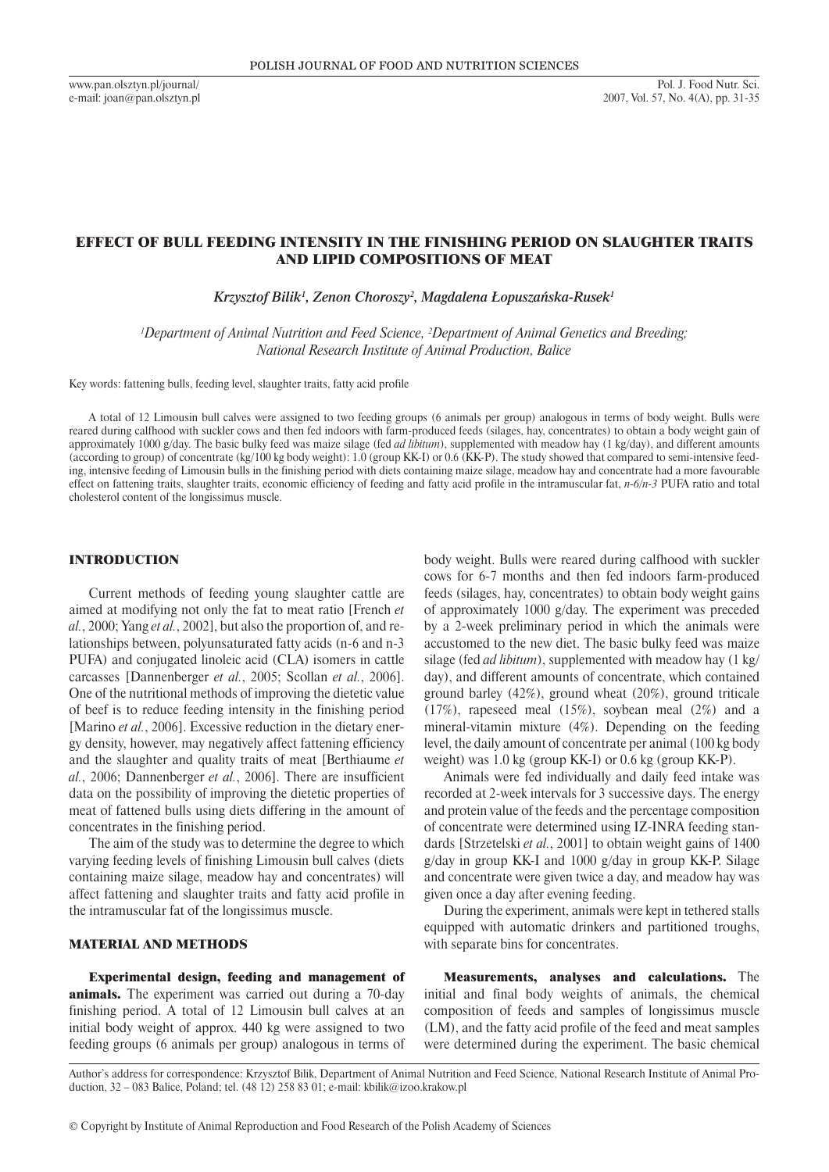www.pan.olsztyn.pl/journal/ e-mail: joan@pan.olsztyn.pl

# EFFECT OF BULL FEEDING INTENSITY IN THE FINISHING PERIOD ON SLAUGHTER TRAITS AND LIPID COMPOSITIONS OF MEAT

*Krzysztof Bilik<sup>1</sup> , Zenon Choroszy<sup>2</sup> , Magdalena Łopuszańska-Rusek<sup>1</sup>*

*1 Department of Animal Nutrition and Feed Science, 2 Department of Animal Genetics and Breeding; National Research Institute of Animal Production, Balice*

Key words: fattening bulls, feeding level, slaughter traits, fatty acid profile

A total of 12 Limousin bull calves were assigned to two feeding groups (6 animals per group) analogous in terms of body weight. Bulls were reared during calfhood with suckler cows and then fed indoors with farm-produced feeds (silages, hay, concentrates) to obtain a body weight gain of approximately 1000 g/day. The basic bulky feed was maize silage (fed *ad libitum*), supplemented with meadow hay (1 kg/day), and different amounts (according to group) of concentrate (kg/100 kg body weight): 1.0 (group KK-I) or 0.6 (KK-P). The study showed that compared to semi-intensive feeding, intensive feeding of Limousin bulls in the finishing period with diets containing maize silage, meadow hay and concentrate had a more favourable effect on fattening traits, slaughter traits, economic efficiency of feeding and fatty acid profile in the intramuscular fat, *n-6/n-3* PUFA ratio and total cholesterol content of the longissimus muscle.

## INTRODUCTION

Current methods of feeding young slaughter cattle are aimed at modifying not only the fat to meat ratio [French *et al.*, 2000; Yang *et al.*, 2002], but also the proportion of, and relationships between, polyunsaturated fatty acids (n-6 and n-3 PUFA) and conjugated linoleic acid (CLA) isomers in cattle carcasses [Dannenberger *et al.*, 2005; Scollan *et al.*, 2006]. One of the nutritional methods of improving the dietetic value of beef is to reduce feeding intensity in the finishing period [Marino *et al.*, 2006]. Excessive reduction in the dietary energy density, however, may negatively affect fattening efficiency and the slaughter and quality traits of meat [Berthiaume *et al.*, 2006; Dannenberger *et al.*, 2006]. There are insufficient data on the possibility of improving the dietetic properties of meat of fattened bulls using diets differing in the amount of concentrates in the finishing period.

The aim of the study was to determine the degree to which varying feeding levels of finishing Limousin bull calves (diets containing maize silage, meadow hay and concentrates) will affect fattening and slaughter traits and fatty acid profile in the intramuscular fat of the longissimus muscle.

#### MATERIAL AND METHODS

Experimental design, feeding and management of animals. The experiment was carried out during a 70-day finishing period. A total of 12 Limousin bull calves at an initial body weight of approx. 440 kg were assigned to two feeding groups (6 animals per group) analogous in terms of

body weight. Bulls were reared during calfhood with suckler cows for 6-7 months and then fed indoors farm-produced feeds (silages, hay, concentrates) to obtain body weight gains of approximately 1000 g/day. The experiment was preceded by a 2-week preliminary period in which the animals were accustomed to the new diet. The basic bulky feed was maize silage (fed *ad libitum*), supplemented with meadow hay (1 kg/ day), and different amounts of concentrate, which contained ground barley (42%), ground wheat (20%), ground triticale (17%), rapeseed meal (15%), soybean meal (2%) and a mineral-vitamin mixture (4%). Depending on the feeding level, the daily amount of concentrate per animal (100 kg body weight) was 1.0 kg (group KK-I) or 0.6 kg (group KK-P).

Animals were fed individually and daily feed intake was recorded at 2-week intervals for 3 successive days. The energy and protein value of the feeds and the percentage composition of concentrate were determined using IZ-INRA feeding standards [Strzetelski *et al.*, 2001] to obtain weight gains of 1400 g/day in group KK-I and 1000 g/day in group KK-P. Silage and concentrate were given twice a day, and meadow hay was given once a day after evening feeding.

During the experiment, animals were kept in tethered stalls equipped with automatic drinkers and partitioned troughs, with separate bins for concentrates.

Measurements, analyses and calculations. The initial and final body weights of animals, the chemical composition of feeds and samples of longissimus muscle (LM), and the fatty acid profile of the feed and meat samples were determined during the experiment. The basic chemical

Author's address for correspondence: Krzysztof Bilik, Department of Animal Nutrition and Feed Science, National Research Institute of Animal Production, 32 – 083 Balice, Poland; tel. (48 12) 258 83 01; e-mail: kbilik@izoo.krakow.pl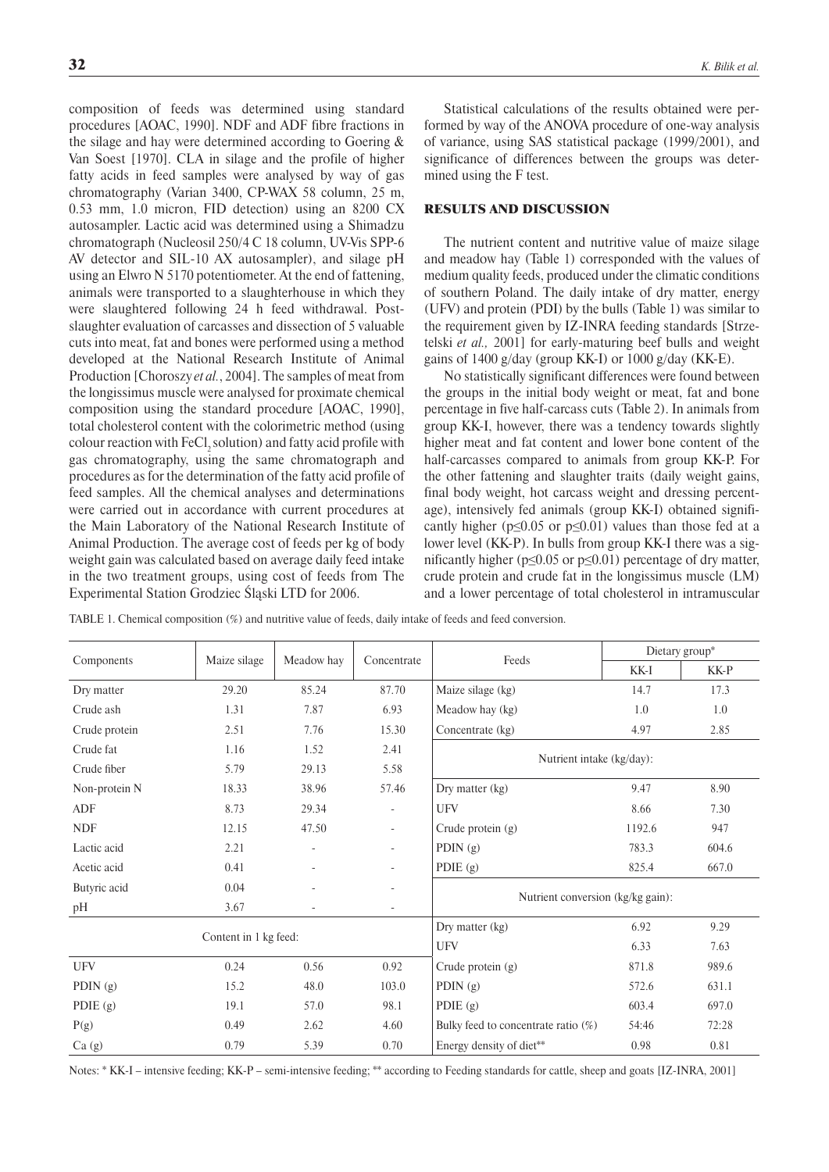composition of feeds was determined using standard procedures [AOAC, 1990]. NDF and ADF fibre fractions in the silage and hay were determined according to Goering & Van Soest [1970]. CLA in silage and the profile of higher fatty acids in feed samples were analysed by way of gas chromatography (Varian 3400, CP-WAX 58 column, 25 m, 0.53 mm, 1.0 micron, FID detection) using an 8200 CX autosampler. Lactic acid was determined using a Shimadzu chromatograph (Nucleosil 250/4 C 18 column, UV-Vis SPP-6 AV detector and SIL-10 AX autosampler), and silage pH using an Elwro N 5170 potentiometer. At the end of fattening, animals were transported to a slaughterhouse in which they were slaughtered following 24 h feed withdrawal. Postslaughter evaluation of carcasses and dissection of 5 valuable cuts into meat, fat and bones were performed using a method developed at the National Research Institute of Animal Production [Choroszy *et al.*, 2004]. The samples of meat from the longissimus muscle were analysed for proximate chemical composition using the standard procedure [AOAC, 1990], total cholesterol content with the colorimetric method (using colour reaction with  $FeCl<sub>2</sub>$  solution) and fatty acid profile with gas chromatography, using the same chromatograph and procedures as for the determination of the fatty acid profile of feed samples. All the chemical analyses and determinations were carried out in accordance with current procedures at the Main Laboratory of the National Research Institute of Animal Production. The average cost of feeds per kg of body weight gain was calculated based on average daily feed intake in the two treatment groups, using cost of feeds from The Experimental Station Grodziec Śląski LTD for 2006.

Statistical calculations of the results obtained were performed by way of the ANOVA procedure of one-way analysis of variance, using SAS statistical package (1999/2001), and significance of differences between the groups was determined using the F test.

#### RESULTS AND DISCUSSION

The nutrient content and nutritive value of maize silage and meadow hay (Table 1) corresponded with the values of medium quality feeds, produced under the climatic conditions of southern Poland. The daily intake of dry matter, energy (UFV) and protein (PDI) by the bulls (Table 1) was similar to the requirement given by IZ-INRA feeding standards [Strzetelski *et al.,* 2001] for early-maturing beef bulls and weight gains of 1400 g/day (group KK-I) or 1000 g/day (KK-E).

No statistically significant differences were found between the groups in the initial body weight or meat, fat and bone percentage in five half-carcass cuts (Table 2). In animals from group KK-I, however, there was a tendency towards slightly higher meat and fat content and lower bone content of the half-carcasses compared to animals from group KK-P. For the other fattening and slaughter traits (daily weight gains, final body weight, hot carcass weight and dressing percentage), intensively fed animals (group KK-I) obtained significantly higher ( $p \le 0.05$  or  $p \le 0.01$ ) values than those fed at a lower level (KK-P). In bulls from group KK-I there was a significantly higher ( $p \le 0.05$  or  $p \le 0.01$ ) percentage of dry matter, crude protein and crude fat in the longissimus muscle (LM) and a lower percentage of total cholesterol in intramuscular

| Components    | Maize silage          | Meadow hay               | Concentrate              | Feeds                                        | Dietary group* |       |
|---------------|-----------------------|--------------------------|--------------------------|----------------------------------------------|----------------|-------|
|               |                       |                          |                          |                                              | KK-I           | KK-P  |
| Dry matter    | 29.20                 | 85.24                    | 87.70                    | Maize silage (kg)                            | 14.7           | 17.3  |
| Crude ash     | 1.31                  | 7.87                     | 6.93                     | Meadow hay (kg)                              | 1.0            | 1.0   |
| Crude protein | 2.51                  | 7.76                     | 15.30                    | 4.97<br>Concentrate (kg)                     |                | 2.85  |
| Crude fat     | 1.16                  | 1.52                     | 2.41                     |                                              |                |       |
| Crude fiber   | 5.79                  | 29.13                    | 5.58                     | Nutrient intake (kg/day):                    |                |       |
| Non-protein N | 18.33                 | 38.96                    | 57.46                    | Dry matter (kg)                              | 9.47           | 8.90  |
| ADF           | 8.73                  | 29.34                    | $\overline{\phantom{a}}$ | <b>UFV</b>                                   | 8.66           | 7.30  |
| <b>NDF</b>    | 12.15                 | 47.50                    | $\overline{\phantom{a}}$ | Crude protein $(g)$                          | 1192.6         | 947   |
| Lactic acid   | 2.21                  | $\overline{\phantom{a}}$ | $\overline{\phantom{a}}$ | PDIN $(g)$                                   | 783.3          | 604.6 |
| Acetic acid   | 0.41                  | $\bar{ }$                | $\overline{\phantom{a}}$ | PDIE $(g)$                                   | 825.4          | 667.0 |
| Butyric acid  | 0.04                  | $\overline{\phantom{a}}$ | $\equiv$                 |                                              |                |       |
| pН            | 3.67                  |                          | $\equiv$                 | Nutrient conversion (kg/kg gain):            |                |       |
|               |                       |                          |                          | Dry matter (kg)                              | 6.92           | 9.29  |
|               | Content in 1 kg feed: |                          |                          | <b>UFV</b>                                   | 6.33           | 7.63  |
| <b>UFV</b>    | 0.24                  | 0.56                     | 0.92                     | Crude protein (g)                            | 871.8          | 989.6 |
| PDIN $(g)$    | 15.2                  | 48.0                     | 103.0                    | PDIN $(g)$                                   | 572.6          | 631.1 |
| PDIE $(g)$    | 19.1                  | 57.0                     | 98.1                     | PDIE (g)<br>603.4                            |                | 697.0 |
| P(g)          | 0.49                  | 2.62                     | 4.60                     | Bulky feed to concentrate ratio (%)<br>54:46 |                | 72:28 |
| Ca(g)         | 0.79                  | 5.39                     | 0.70                     | Energy density of diet**                     | 0.98           | 0.81  |

TABLE 1. Chemical composition (%) and nutritive value of feeds, daily intake of feeds and feed conversion.

Notes: \* KK-I – intensive feeding; KK-P – semi-intensive feeding; \*\* according to Feeding standards for cattle, sheep and goats [IZ-INRA, 2001]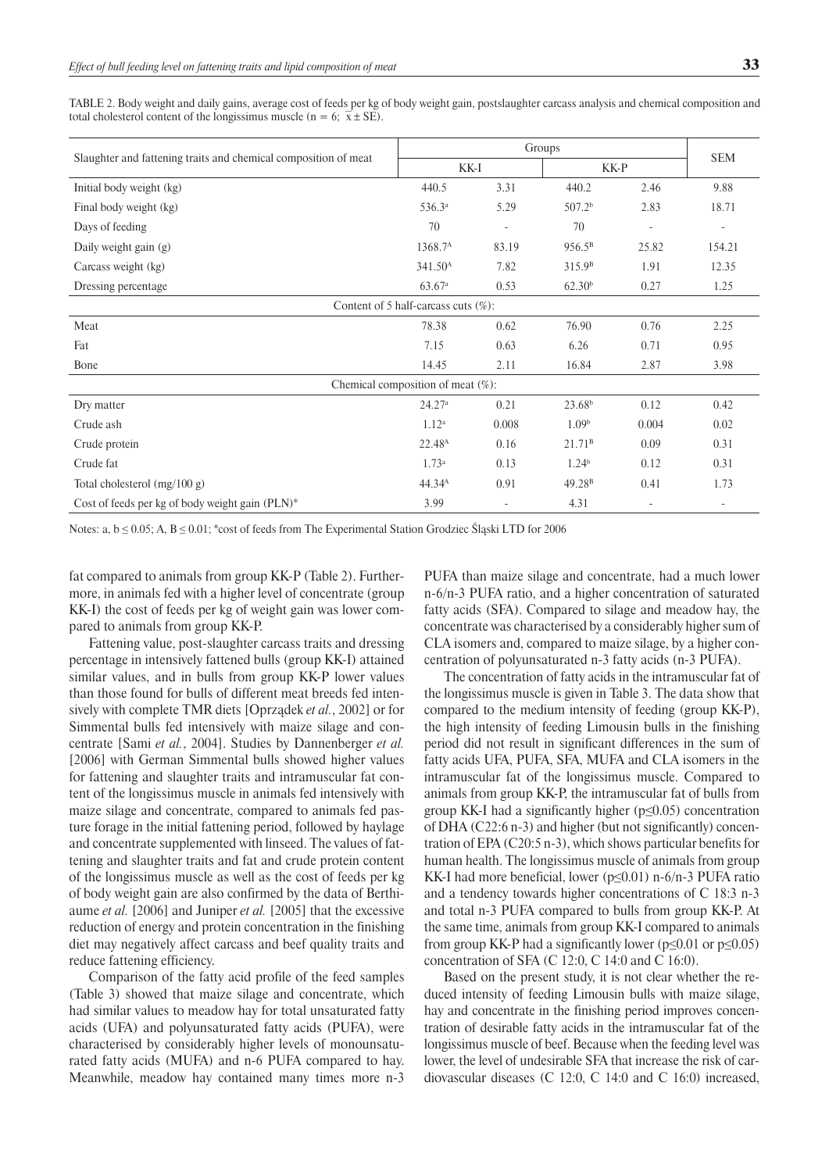TABLE 2. Body weight and daily gains, average cost of feeds per kg of body weight gain, postslaughter carcass analysis and chemical composition and total cholesterol content of the longissimus muscle (n = 6;  $\overline{x}$  ± SE).

|                                                                 | Groups              |       |                    |                          |                          |  |  |  |
|-----------------------------------------------------------------|---------------------|-------|--------------------|--------------------------|--------------------------|--|--|--|
| Slaughter and fattening traits and chemical composition of meat | KK-I                |       | KK-P               |                          | <b>SEM</b>               |  |  |  |
| Initial body weight (kg)                                        | 440.5               | 3.31  | 440.2              | 2.46                     | 9.88                     |  |  |  |
| Final body weight (kg)                                          | 536.3ª              | 5.29  | 507.2 <sup>b</sup> | 2.83                     | 18.71                    |  |  |  |
| Days of feeding                                                 | 70                  |       | 70                 | $\overline{\phantom{a}}$ | $\overline{\phantom{a}}$ |  |  |  |
| Daily weight gain (g)                                           | 1368.7 <sup>A</sup> | 83.19 | 956.5 <sup>B</sup> | 25.82                    | 154.21                   |  |  |  |
| Carcass weight (kg)                                             | 341.50 <sup>A</sup> | 7.82  | 315.9 <sup>B</sup> | 1.91                     | 12.35                    |  |  |  |
| Dressing percentage                                             | 63.67 <sup>a</sup>  | 0.53  | 62.30 <sup>b</sup> | 0.27                     | 1.25                     |  |  |  |
| Content of 5 half-carcass cuts $(\%)$ :                         |                     |       |                    |                          |                          |  |  |  |
| Meat                                                            | 78.38               | 0.62  | 76.90              | 0.76                     | 2.25                     |  |  |  |
| Fat                                                             | 7.15                | 0.63  | 6.26               | 0.71                     | 0.95                     |  |  |  |
| Bone                                                            | 14.45               | 2.11  | 16.84              | 2.87                     | 3.98                     |  |  |  |
| Chemical composition of meat $(\%)$ :                           |                     |       |                    |                          |                          |  |  |  |
| Dry matter                                                      | 24.27 <sup>a</sup>  | 0.21  | 23.68 <sup>b</sup> | 0.12                     | 0.42                     |  |  |  |
| Crude ash                                                       | 1.12 <sup>a</sup>   | 0.008 | 1.09 <sup>b</sup>  | 0.004                    | 0.02                     |  |  |  |
| Crude protein                                                   | 22.48 <sup>A</sup>  | 0.16  | 21.71 <sup>B</sup> | 0.09                     | 0.31                     |  |  |  |
| Crude fat                                                       | 1.73 <sup>a</sup>   | 0.13  | 1.24 <sup>b</sup>  | 0.12                     | 0.31                     |  |  |  |
| Total cholesterol $(mg/100 g)$                                  | $44.34^{A}$         | 0.91  | 49.28 <sup>B</sup> | 0.41                     | 1.73                     |  |  |  |
| Cost of feeds per kg of body weight gain (PLN)*                 | 3.99                | ۰     | 4.31               | $\overline{\phantom{a}}$ | $\overline{\phantom{a}}$ |  |  |  |

Notes: a,  $b \le 0.05$ ; A,  $B \le 0.01$ ; \*cost of feeds from The Experimental Station Grodziec Śląski LTD for 2006

fat compared to animals from group KK-P (Table 2). Furthermore, in animals fed with a higher level of concentrate (group KK-I) the cost of feeds per kg of weight gain was lower compared to animals from group KK-P.

Fattening value, post-slaughter carcass traits and dressing percentage in intensively fattened bulls (group KK-I) attained similar values, and in bulls from group KK-P lower values than those found for bulls of different meat breeds fed intensively with complete TMR diets [Oprządek *et al.*, 2002] or for Simmental bulls fed intensively with maize silage and concentrate [Sami *et al.*, 2004]. Studies by Dannenberger *et al.* [2006] with German Simmental bulls showed higher values for fattening and slaughter traits and intramuscular fat content of the longissimus muscle in animals fed intensively with maize silage and concentrate, compared to animals fed pasture forage in the initial fattening period, followed by haylage and concentrate supplemented with linseed. The values of fattening and slaughter traits and fat and crude protein content of the longissimus muscle as well as the cost of feeds per kg of body weight gain are also confirmed by the data of Berthiaume *et al.* [2006] and Juniper *et al.* [2005] that the excessive reduction of energy and protein concentration in the finishing diet may negatively affect carcass and beef quality traits and reduce fattening efficiency.

Comparison of the fatty acid profile of the feed samples (Table 3) showed that maize silage and concentrate, which had similar values to meadow hay for total unsaturated fatty acids (UFA) and polyunsaturated fatty acids (PUFA), were characterised by considerably higher levels of monounsaturated fatty acids (MUFA) and n-6 PUFA compared to hay. Meanwhile, meadow hay contained many times more n-3

PUFA than maize silage and concentrate, had a much lower n-6/n-3 PUFA ratio, and a higher concentration of saturated fatty acids (SFA). Compared to silage and meadow hay, the concentrate was characterised by a considerably higher sum of CLA isomers and, compared to maize silage, by a higher concentration of polyunsaturated n-3 fatty acids (n-3 PUFA).

The concentration of fatty acids in the intramuscular fat of the longissimus muscle is given in Table 3. The data show that compared to the medium intensity of feeding (group KK-P), the high intensity of feeding Limousin bulls in the finishing period did not result in significant differences in the sum of fatty acids UFA, PUFA, SFA, MUFA and CLA isomers in the intramuscular fat of the longissimus muscle. Compared to animals from group KK-P, the intramuscular fat of bulls from group KK-I had a significantly higher ( $p \le 0.05$ ) concentration of DHA (C22:6 n-3) and higher (but not significantly) concentration of EPA (C20:5 n-3), which shows particular benefits for human health. The longissimus muscle of animals from group KK-I had more beneficial, lower (p≤0.01) n-6/n-3 PUFA ratio and a tendency towards higher concentrations of C 18:3 n-3 and total n-3 PUFA compared to bulls from group KK-P. At the same time, animals from group KK-I compared to animals from group KK-P had a significantly lower ( $p \le 0.01$  or  $p \le 0.05$ ) concentration of SFA (C 12:0, C 14:0 and C 16:0).

Based on the present study, it is not clear whether the reduced intensity of feeding Limousin bulls with maize silage, hay and concentrate in the finishing period improves concentration of desirable fatty acids in the intramuscular fat of the longissimus muscle of beef. Because when the feeding level was lower, the level of undesirable SFA that increase the risk of cardiovascular diseases (C 12:0, C 14:0 and C 16:0) increased,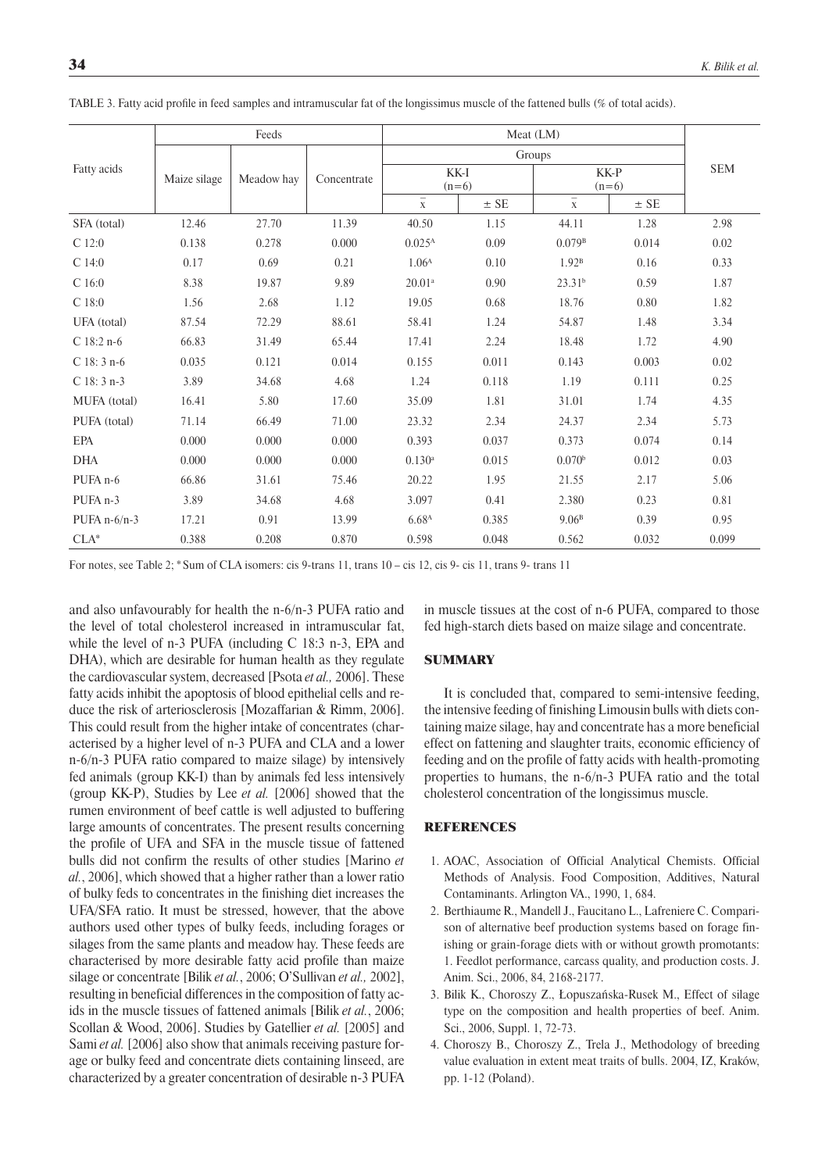|                     | Feeds        |            |             | Meat (LM)                 |          |                           |          |            |
|---------------------|--------------|------------|-------------|---------------------------|----------|---------------------------|----------|------------|
| Fatty acids         |              | Meadow hay | Concentrate | Groups                    |          |                           |          |            |
|                     | Maize silage |            |             | KK-I<br>$(n=6)$           |          | KK-P<br>$(n=6)$           |          | <b>SEM</b> |
|                     |              |            |             | $\overline{\overline{x}}$ | $\pm$ SE | $\overline{\overline{x}}$ | $\pm$ SE |            |
| SFA (total)         | 12.46        | 27.70      | 11.39       | 40.50                     | 1.15     | 44.11                     | 1.28     | 2.98       |
| $C$ 12:0            | 0.138        | 0.278      | 0.000       | 0.025 <sup>A</sup>        | 0.09     | 0.079B                    | 0.014    | 0.02       |
| C14:0               | 0.17         | 0.69       | 0.21        | 1.06 <sup>A</sup>         | 0.10     | 1.92 <sup>B</sup>         | 0.16     | 0.33       |
| C16:0               | 8.38         | 19.87      | 9.89        | 20.01 <sup>a</sup>        | 0.90     | 23.31 <sup>b</sup>        | 0.59     | 1.87       |
| $C$ 18:0            | 1.56         | 2.68       | 1.12        | 19.05                     | 0.68     | 18.76                     | 0.80     | 1.82       |
| UFA (total)         | 87.54        | 72.29      | 88.61       | 58.41                     | 1.24     | 54.87                     | 1.48     | 3.34       |
| $C$ 18:2 n-6        | 66.83        | 31.49      | 65.44       | 17.41                     | 2.24     | 18.48                     | 1.72     | 4.90       |
| $C$ 18: 3 n-6       | 0.035        | 0.121      | 0.014       | 0.155                     | 0.011    | 0.143                     | 0.003    | 0.02       |
| $C$ 18: 3 n-3       | 3.89         | 34.68      | 4.68        | 1.24                      | 0.118    | 1.19                      | 0.111    | 0.25       |
| MUFA (total)        | 16.41        | 5.80       | 17.60       | 35.09                     | 1.81     | 31.01                     | 1.74     | 4.35       |
| PUFA (total)        | 71.14        | 66.49      | 71.00       | 23.32                     | 2.34     | 24.37                     | 2.34     | 5.73       |
| <b>EPA</b>          | 0.000        | 0.000      | 0.000       | 0.393                     | 0.037    | 0.373                     | 0.074    | 0.14       |
| <b>DHA</b>          | 0.000        | 0.000      | 0.000       | $0.130$ <sup>a</sup>      | 0.015    | 0.070 <sup>b</sup>        | 0.012    | 0.03       |
| PUFA <sub>n-6</sub> | 66.86        | 31.61      | 75.46       | 20.22                     | 1.95     | 21.55                     | 2.17     | 5.06       |
| PUFA <sub>n-3</sub> | 3.89         | 34.68      | 4.68        | 3.097                     | 0.41     | 2.380                     | 0.23     | 0.81       |
| PUFA $n-6/n-3$      | 17.21        | 0.91       | 13.99       | 6.68 <sup>A</sup>         | 0.385    | 9.06 <sup>B</sup>         | 0.39     | 0.95       |
| $CLA*$              | 0.388        | 0.208      | 0.870       | 0.598                     | 0.048    | 0.562                     | 0.032    | 0.099      |

TABLE 3. Fatty acid profile in feed samples and intramuscular fat of the longissimus muscle of the fattened bulls (% of total acids).

For notes, see Table 2; \* Sum of CLA isomers: cis 9-trans 11, trans 10 – cis 12, cis 9- cis 11, trans 9- trans 11

and also unfavourably for health the n-6/n-3 PUFA ratio and the level of total cholesterol increased in intramuscular fat, while the level of n-3 PUFA (including C 18:3 n-3, EPA and DHA), which are desirable for human health as they regulate the cardiovascular system, decreased [Psota *et al.,* 2006]. These fatty acids inhibit the apoptosis of blood epithelial cells and reduce the risk of arteriosclerosis [Mozaffarian & Rimm, 2006]. This could result from the higher intake of concentrates (characterised by a higher level of n-3 PUFA and CLA and a lower n-6/n-3 PUFA ratio compared to maize silage) by intensively fed animals (group KK-I) than by animals fed less intensively (group KK-P), Studies by Lee *et al.* [2006] showed that the rumen environment of beef cattle is well adjusted to buffering large amounts of concentrates. The present results concerning the profile of UFA and SFA in the muscle tissue of fattened bulls did not confirm the results of other studies [Marino *et al.*, 2006], which showed that a higher rather than a lower ratio of bulky feds to concentrates in the finishing diet increases the UFA/SFA ratio. It must be stressed, however, that the above authors used other types of bulky feeds, including forages or silages from the same plants and meadow hay. These feeds are characterised by more desirable fatty acid profile than maize silage or concentrate [Bilik *et al.*, 2006; O'Sullivan *et al.,* 2002], resulting in beneficial differences in the composition of fatty acids in the muscle tissues of fattened animals [Bilik *et al.*, 2006; Scollan & Wood, 2006]. Studies by Gatellier *et al.* [2005] and Sami *et al.* [2006] also show that animals receiving pasture forage or bulky feed and concentrate diets containing linseed, are characterized by a greater concentration of desirable n-3 PUFA in muscle tissues at the cost of n-6 PUFA, compared to those fed high-starch diets based on maize silage and concentrate.

## **SUMMARY**

It is concluded that, compared to semi-intensive feeding, the intensive feeding of finishing Limousin bulls with diets containing maize silage, hay and concentrate has a more beneficial effect on fattening and slaughter traits, economic efficiency of feeding and on the profile of fatty acids with health-promoting properties to humans, the n-6/n-3 PUFA ratio and the total cholesterol concentration of the longissimus muscle.

### **REFERENCES**

- 1. AOAC, Association of Official Analytical Chemists. Official Methods of Analysis. Food Composition, Additives, Natural Contaminants. Arlington VA., 1990, 1, 684.
- 2. Berthiaume R., Mandell J., Faucitano L., Lafreniere C. Comparison of alternative beef production systems based on forage finishing or grain-forage diets with or without growth promotants: 1. Feedlot performance, carcass quality, and production costs. J. Anim. Sci., 2006, 84, 2168-2177.
- 3. Bilik K., Choroszy Z., Łopuszańska-Rusek M., Effect of silage type on the composition and health properties of beef. Anim. Sci., 2006, Suppl. 1, 72-73.
- 4. Choroszy B., Choroszy Z., Trela J., Methodology of breeding value evaluation in extent meat traits of bulls. 2004, IZ, Kraków, pp. 1-12 (Poland).